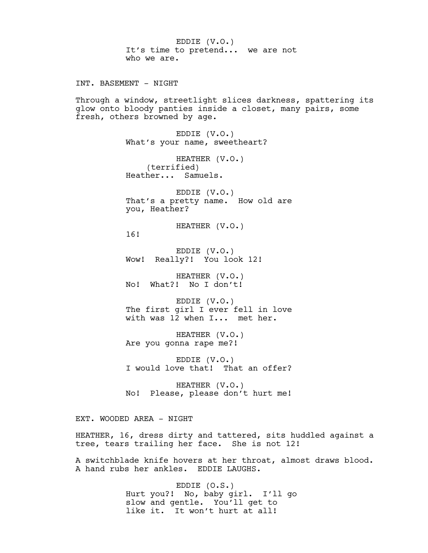EDDIE (V.O.) It's time to pretend... we are not who we are. INT. BASEMENT - NIGHT Through a window, streetlight slices darkness, spattering its glow onto bloody panties inside a closet, many pairs, some fresh, others browned by age. EDDIE (V.O.) What's your name, sweetheart? HEATHER (V.O.) (terrified) Heather... Samuels. EDDIE (V.O.) That's a pretty name. How old are you, Heather? HEATHER (V.O.) 16! EDDIE (V.O.) Wow! Really?! You look 12! HEATHER (V.O.) No! What?! No I don't! EDDIE (V.O.) The first girl I ever fell in love with was 12 when I... met her. HEATHER (V.O.) Are you gonna rape me?! EDDIE (V.O.) I would love that! That an offer? HEATHER (V.O.) No! Please, please don't hurt me! EXT. WOODED AREA - NIGHT HEATHER, 16, dress dirty and tattered, sits huddled against a

A switchblade knife hovers at her throat, almost draws blood. A hand rubs her ankles. EDDIE LAUGHS.

> EDDIE (O.S.) Hurt you?! No, baby girl. I'll go slow and gentle. You'll get to like it. It won't hurt at all!

tree, tears trailing her face. She is not 12!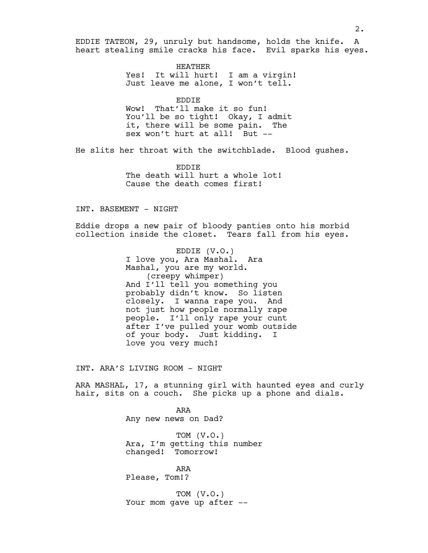EDDIE TATEON, 29, unruly but handsome, holds the knife. A heart stealing smile cracks his face. Evil sparks his eyes.

> HEATHER Yes! It will hurt! I am a virgin! Just leave me alone, I won't tell.

EDDIE Wow! That'll make it so fun! You'll be so tight! Okay, I admit it, there will be some pain. The sex won't hurt at all! But --

He slits her throat with the switchblade. Blood gushes.

EDDIE The death will hurt a whole lot! Cause the death comes first!

# INT. BASEMENT - NIGHT

Eddie drops a new pair of bloody panties onto his morbid collection inside the closet. Tears fall from his eyes.

> EDDIE (V.O.) I love you, Ara Mashal. Ara Mashal, you are my world. (creepy whimper) And I'll tell you something you probably didn't know. So listen closely. I wanna rape you. And not just how people normally rape people. I'll only rape your cunt after I've pulled your womb outside of your body. Just kidding. I love you very much!

INT. ARA'S LIVING ROOM - NIGHT

ARA MASHAL, 17, a stunning girl with haunted eyes and curly hair, sits on a couch. She picks up a phone and dials.

> ARA Any new news on Dad?

TOM (V.O.) Ara, I'm getting this number changed! Tomorrow!

ARA Please, Tom!?

TOM (V.O.) Your mom gave up after --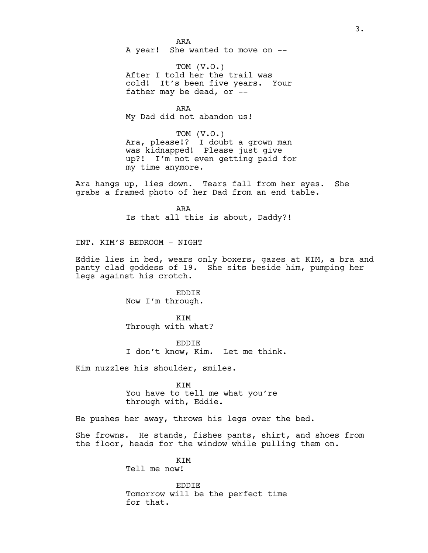ARA A year! She wanted to move on --

TOM (V.O.) After I told her the trail was cold! It's been five years. Your father may be dead, or --

ARA My Dad did not abandon us!

TOM (V.O.) Ara, please!? I doubt a grown man was kidnapped! Please just give up?! I'm not even getting paid for my time anymore.

Ara hangs up, lies down. Tears fall from her eyes. She grabs a framed photo of her Dad from an end table.

> ARA Is that all this is about, Daddy?!

INT. KIM'S BEDROOM - NIGHT

Eddie lies in bed, wears only boxers, gazes at KIM, a bra and panty clad goddess of 19. She sits beside him, pumping her legs against his crotch.

> EDDIE Now I'm through.

KIM Through with what?

EDDIE I don't know, Kim. Let me think.

Kim nuzzles his shoulder, smiles.

KIM You have to tell me what you're through with, Eddie.

He pushes her away, throws his legs over the bed.

She frowns. He stands, fishes pants, shirt, and shoes from the floor, heads for the window while pulling them on.

> KIM Tell me now!

EDDIE Tomorrow will be the perfect time for that.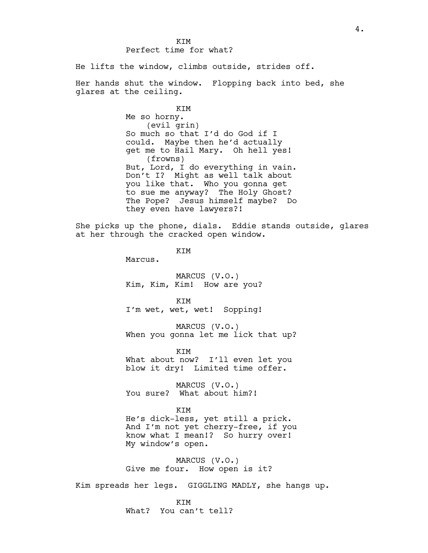## **KTM** Perfect time for what?

He lifts the window, climbs outside, strides off.

Her hands shut the window. Flopping back into bed, she glares at the ceiling.

> KIM Me so horny. (evil grin) So much so that I'd do God if I could. Maybe then he'd actually get me to Hail Mary. Oh hell yes! (frowns) But, Lord, I do everything in vain. Don't I? Might as well talk about you like that. Who you gonna get to sue me anyway? The Holy Ghost? The Pope? Jesus himself maybe? Do they even have lawyers?!

She picks up the phone, dials. Eddie stands outside, glares at her through the cracked open window.

KIM

Marcus.

MARCUS (V.O.) Kim, Kim, Kim! How are you?

**KTM** I'm wet, wet, wet! Sopping!

MARCUS (V.O.) When you gonna let me lick that up?

KIM

What about now? I'll even let you blow it dry! Limited time offer.

MARCUS (V.O.) You sure? What about him?!

KIM

He's dick-less, yet still a prick. And I'm not yet cherry-free, if you know what I mean!? So hurry over! My window's open.

MARCUS (V.O.) Give me four. How open is it?

Kim spreads her legs. GIGGLING MADLY, she hangs up.

KIM What? You can't tell?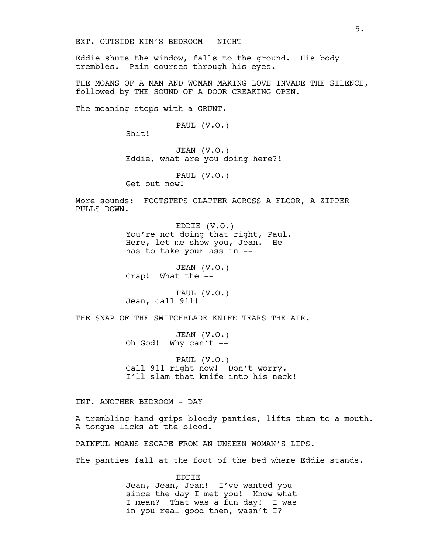Eddie shuts the window, falls to the ground. His body trembles. Pain courses through his eyes.

THE MOANS OF A MAN AND WOMAN MAKING LOVE INVADE THE SILENCE, followed by THE SOUND OF A DOOR CREAKING OPEN.

The moaning stops with a GRUNT.

PAUL (V.O.)

Shit!

JEAN (V.O.) Eddie, what are you doing here?!

PAUL (V.O.)

Get out now!

More sounds: FOOTSTEPS CLATTER ACROSS A FLOOR, A ZIPPER PULLS DOWN.

> EDDIE (V.O.) You're not doing that right, Paul. Here, let me show you, Jean. He has to take your ass in --

JEAN (V.O.) Crap! What the --

PAUL (V.O.) Jean, call 911!

THE SNAP OF THE SWITCHBLADE KNIFE TEARS THE AIR.

JEAN (V.O.) Oh God! Why can't --

PAUL (V.O.) Call 911 right now! Don't worry. I'll slam that knife into his neck!

INT. ANOTHER BEDROOM - DAY

A trembling hand grips bloody panties, lifts them to a mouth. A tongue licks at the blood.

PAINFUL MOANS ESCAPE FROM AN UNSEEN WOMAN'S LIPS.

The panties fall at the foot of the bed where Eddie stands.

EDDIE Jean, Jean, Jean! I've wanted you since the day I met you! Know what I mean? That was a fun day! I was in you real good then, wasn't I?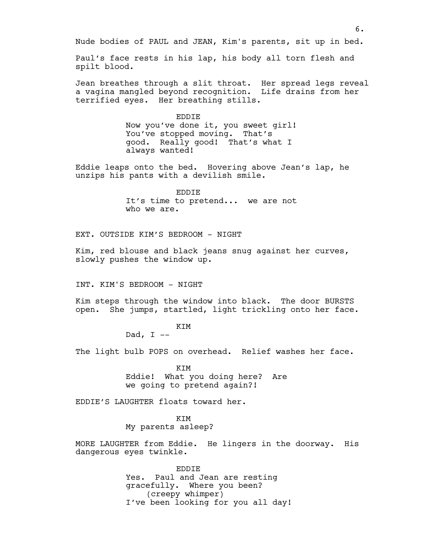Nude bodies of PAUL and JEAN, Kim's parents, sit up in bed.

Paul's face rests in his lap, his body all torn flesh and spilt blood.

Jean breathes through a slit throat. Her spread legs reveal a vagina mangled beyond recognition. Life drains from her terrified eyes. Her breathing stills.

> EDDIE Now you've done it, you sweet girl! You've stopped moving. That's good. Really good! That's what I always wanted!

Eddie leaps onto the bed. Hovering above Jean's lap, he unzips his pants with a devilish smile.

> EDDIE It's time to pretend... we are not who we are.

EXT. OUTSIDE KIM'S BEDROOM - NIGHT

Kim, red blouse and black jeans snug against her curves, slowly pushes the window up.

INT. KIM'S BEDROOM - NIGHT

Kim steps through the window into black. The door BURSTS open. She jumps, startled, light trickling onto her face.

KIM

Dad,  $I$  --

The light bulb POPS on overhead. Relief washes her face.

KIM Eddie! What you doing here? Are we going to pretend again?!

EDDIE'S LAUGHTER floats toward her.

KIM My parents asleep?

MORE LAUGHTER from Eddie. He lingers in the doorway. His dangerous eyes twinkle.

> EDDIE Yes. Paul and Jean are resting gracefully. Where you been? (creepy whimper) I've been looking for you all day!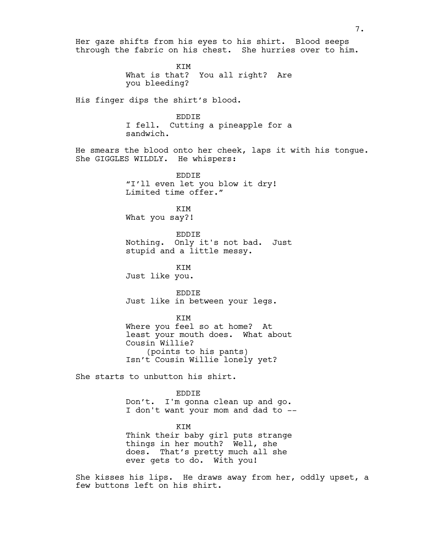Her gaze shifts from his eyes to his shirt. Blood seeps through the fabric on his chest. She hurries over to him.

> KIM What is that? You all right? Are you bleeding?

His finger dips the shirt's blood.

EDDIE I fell. Cutting a pineapple for a sandwich.

He smears the blood onto her cheek, laps it with his tongue. She GIGGLES WILDLY. He whispers:

> EDDIE "I'll even let you blow it dry! Limited time offer."

KIM What you say?!

EDDIE Nothing. Only it's not bad. Just stupid and a little messy.

KIM Just like you.

EDDIE Just like in between your legs.

KIM

Where you feel so at home? At least your mouth does. What about Cousin Willie? (points to his pants) Isn't Cousin Willie lonely yet?

She starts to unbutton his shirt.

EDDIE

Don't. I'm gonna clean up and go. I don't want your mom and dad to --

KIM

Think their baby girl puts strange things in her mouth? Well, she does. That's pretty much all she ever gets to do. With you!

She kisses his lips. He draws away from her, oddly upset, a few buttons left on his shirt.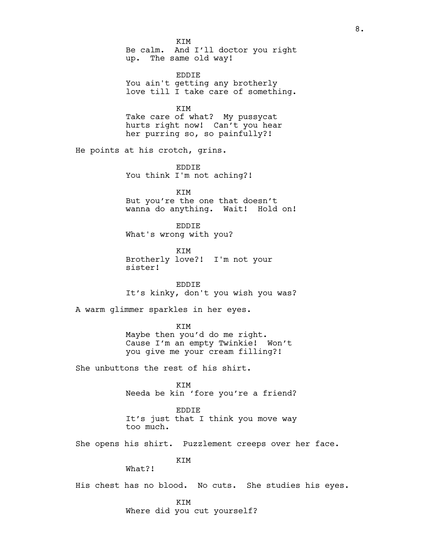KIM Be calm. And I'll doctor you right up. The same old way!

EDDIE You ain't getting any brotherly love till I take care of something.

KIM Take care of what? My pussycat hurts right now! Can't you hear her purring so, so painfully?!

He points at his crotch, grins.

EDDIE You think I'm not aching?!

KIM But you're the one that doesn't wanna do anything. Wait! Hold on!

EDDIE What's wrong with you?

KIM Brotherly love?! I'm not your sister!

EDDIE It's kinky, don't you wish you was?

A warm glimmer sparkles in her eyes.

KIM Maybe then you'd do me right. Cause I'm an empty Twinkie! Won't you give me your cream filling?!

She unbuttons the rest of his shirt.

KIM Needa be kin 'fore you're a friend?

EDDIE It's just that I think you move way too much.

She opens his shirt. Puzzlement creeps over her face.

KIM

What?!

His chest has no blood. No cuts. She studies his eyes.

KIM

Where did you cut yourself?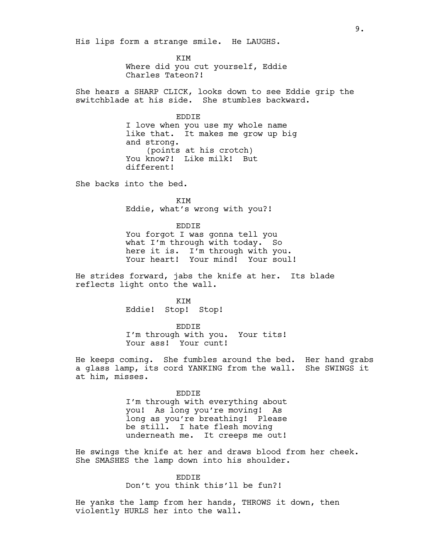His lips form a strange smile. He LAUGHS.

KIM Where did you cut yourself, Eddie Charles Tateon?!

She hears a SHARP CLICK, looks down to see Eddie grip the switchblade at his side. She stumbles backward.

> EDDIE I love when you use my whole name like that. It makes me grow up big and strong. (points at his crotch) You know?! Like milk! But different!

She backs into the bed.

KIM Eddie, what's wrong with you?!

#### EDDIE

You forgot I was gonna tell you what I'm through with today. So here it is. I'm through with you. Your heart! Your mind! Your soul!

He strides forward, jabs the knife at her. Its blade reflects light onto the wall.

> KIM Eddie! Stop! Stop!

EDDIE I'm through with you. Your tits! Your ass! Your cunt!

He keeps coming. She fumbles around the bed. Her hand grabs a glass lamp, its cord YANKING from the wall. She SWINGS it at him, misses.

> EDDIE I'm through with everything about you! As long you're moving! As long as you're breathing! Please be still. I hate flesh moving underneath me. It creeps me out!

He swings the knife at her and draws blood from her cheek. She SMASHES the lamp down into his shoulder.

### EDDIE

Don't you think this'll be fun?!

He yanks the lamp from her hands, THROWS it down, then violently HURLS her into the wall.